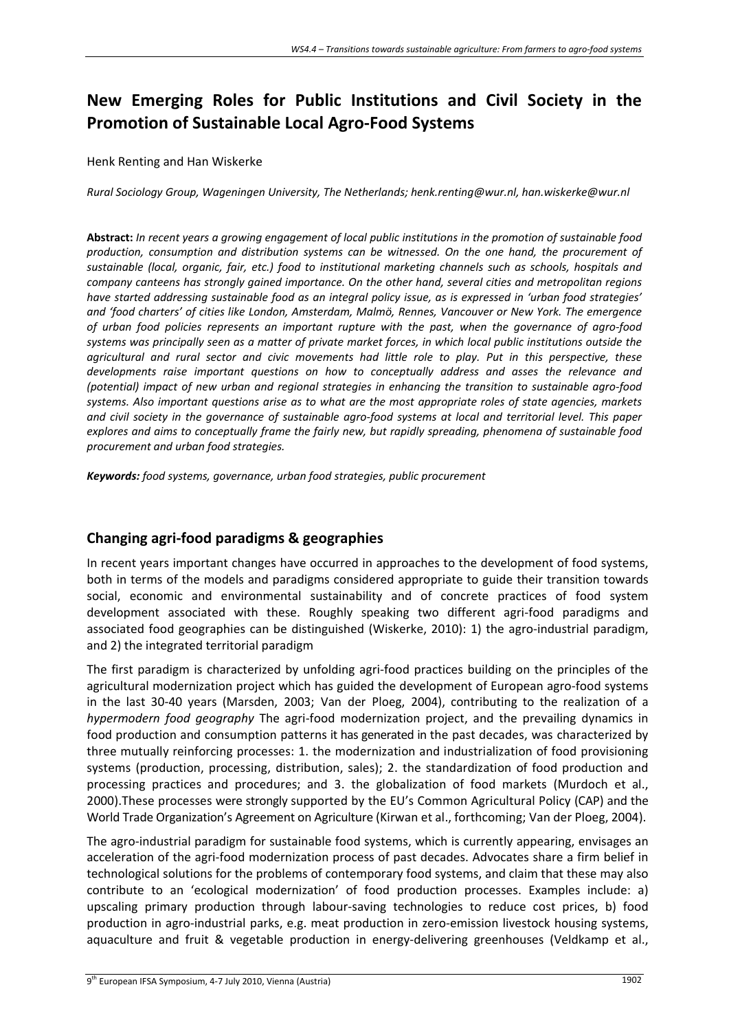# **New Emerging Roles for Public Institutions and Civil Society in the Promotion of Sustainable Local Agro‐Food Systems**

#### Henk Renting and Han Wiskerke

*Rural Sociology Group, Wageningen University, The Netherlands; henk.renting@wur.nl, han.wiskerke@wur.nl* 

Abstract: In recent years a growing engagement of local public institutions in the promotion of sustainable food *production, consumption and distribution systems can be witnessed. On the one hand, the procurement of sustainable (local, organic, fair, etc.) food to institutional marketing channels such as schools, hospitals and company canteens has strongly gained importance. On the other hand, several cities and metropolitan regions* have started addressing sustainable food as an integral policy issue, as is expressed in 'urban food strategies' *and 'food charters' of cities like London, Amsterdam, Malmö, Rennes, Vancouver or New York. The emergence* of urban food policies represents an important rupture with the past, when the governance of agro-food systems was principally seen as a matter of private market forces, in which local public institutions outside the *agricultural and rural sector and civic movements had little role to play. Put in this perspective, these developments raise important questions on how to conceptually address and asses the relevance and* (potential) impact of new urban and regional strategies in enhancing the transition to sustainable agro-food systems. Also important questions arise as to what are the most appropriate roles of state agencies, markets and civil society in the governance of sustainable agro-food systems at local and territorial level. This paper *explores and aims to conceptually frame the fairly new, but rapidly spreading, phenomena of sustainable food procurement and urban food strategies.*

*Keywords: food systems, governance, urban food strategies, public procurement*

## **Changing agri‐food paradigms & geographies**

In recent years important changes have occurred in approaches to the development of food systems, both in terms of the models and paradigms considered appropriate to guide their transition towards social, economic and environmental sustainability and of concrete practices of food system development associated with these. Roughly speaking two different agri-food paradigms and associated food geographies can be distinguished (Wiskerke, 2010): 1) the agro-industrial paradigm, and 2) the integrated territorial paradigm

The first paradigm is characterized by unfolding agri‐food practices building on the principles of the agricultural modernization project which has guided the development of European agro-food systems in the last 30‐40 years (Marsden, 2003; Van der Ploeg, 2004), contributing to the realization of a *hypermodern food geography* The agri‐food modernization project, and the prevailing dynamics in food production and consumption patterns it has generated in the past decades, was characterized by three mutually reinforcing processes: 1. the modernization and industrialization of food provisioning systems (production, processing, distribution, sales); 2. the standardization of food production and processing practices and procedures; and 3. the globalization of food markets (Murdoch et al., 2000).These processes were strongly supported by the EU's Common Agricultural Policy (CAP) and the World Trade Organization's Agreement on Agriculture (Kirwan et al., forthcoming; Van der Ploeg, 2004).

The agro-industrial paradigm for sustainable food systems, which is currently appearing, envisages an acceleration of the agri‐food modernization process of past decades. Advocates share a firm belief in technological solutions for the problems of contemporary food systems, and claim that these may also contribute to an 'ecological modernization' of food production processes. Examples include: a) upscaling primary production through labour‐saving technologies to reduce cost prices, b) food production in agro-industrial parks, e.g. meat production in zero-emission livestock housing systems, aquaculture and fruit & vegetable production in energy-delivering greenhouses (Veldkamp et al.,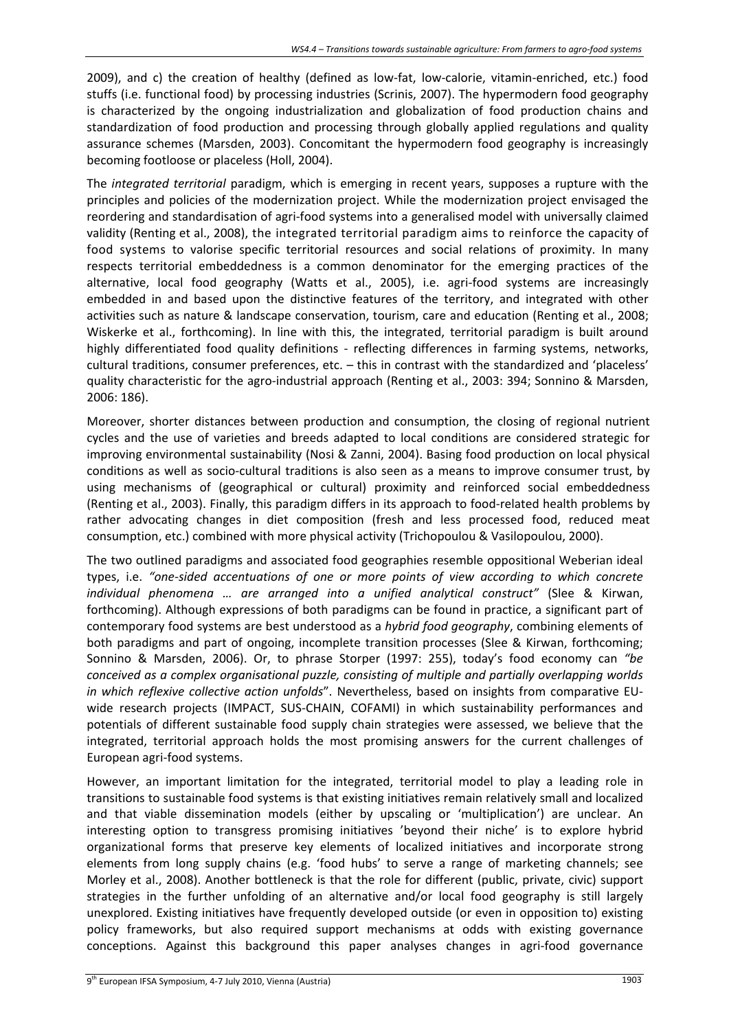2009), and c) the creation of healthy (defined as low‐fat, low‐calorie, vitamin‐enriched, etc.) food stuffs (i.e. functional food) by processing industries (Scrinis, 2007). The hypermodern food geography is characterized by the ongoing industrialization and globalization of food production chains and standardization of food production and processing through globally applied regulations and quality assurance schemes (Marsden, 2003). Concomitant the hypermodern food geography is increasingly becoming footloose or placeless (Holl, 2004).

The *integrated territorial* paradigm, which is emerging in recent years, supposes a rupture with the principles and policies of the modernization project. While the modernization project envisaged the reordering and standardisation of agri‐food systems into a generalised model with universally claimed validity (Renting et al., 2008), the integrated territorial paradigm aims to reinforce the capacity of food systems to valorise specific territorial resources and social relations of proximity. In many respects territorial embeddedness is a common denominator for the emerging practices of the alternative, local food geography (Watts et al., 2005), i.e. agri-food systems are increasingly embedded in and based upon the distinctive features of the territory, and integrated with other activities such as nature & landscape conservation, tourism, care and education (Renting et al., 2008; Wiskerke et al., forthcoming). In line with this, the integrated, territorial paradigm is built around highly differentiated food quality definitions - reflecting differences in farming systems, networks, cultural traditions, consumer preferences, etc. – this in contrast with the standardized and 'placeless' quality characteristic for the agro‐industrial approach (Renting et al., 2003: 394; Sonnino & Marsden, 2006: 186).

Moreover, shorter distances between production and consumption, the closing of regional nutrient cycles and the use of varieties and breeds adapted to local conditions are considered strategic for improving environmental sustainability (Nosi & Zanni, 2004). Basing food production on local physical conditions as well as socio-cultural traditions is also seen as a means to improve consumer trust, by using mechanisms of (geographical or cultural) proximity and reinforced social embeddedness (Renting et al., 2003). Finally, this paradigm differs in its approach to food‐related health problems by rather advocating changes in diet composition (fresh and less processed food, reduced meat consumption, etc.) combined with more physical activity (Trichopoulou & Vasilopoulou, 2000).

The two outlined paradigms and associated food geographies resemble oppositional Weberian ideal types, i.e. *"one‐sided accentuations of one or more points of view according to which concrete individual phenomena … are arranged into a unified analytical construct"* (Slee & Kirwan, forthcoming). Although expressions of both paradigms can be found in practice, a significant part of contemporary food systems are best understood as a *hybrid food geography*, combining elements of both paradigms and part of ongoing, incomplete transition processes (Slee & Kirwan, forthcoming; Sonnino & Marsden, 2006). Or, to phrase Storper (1997: 255), today's food economy can *"be conceived as a complex organisational puzzle, consisting of multiple and partially overlapping worlds in which reflexive collective action unfolds*". Nevertheless, based on insights from comparative EU‐ wide research projects (IMPACT, SUS-CHAIN, COFAMI) in which sustainability performances and potentials of different sustainable food supply chain strategies were assessed, we believe that the integrated, territorial approach holds the most promising answers for the current challenges of European agri‐food systems.

However, an important limitation for the integrated, territorial model to play a leading role in transitions to sustainable food systems is that existing initiatives remain relatively small and localized and that viable dissemination models (either by upscaling or 'multiplication') are unclear. An interesting option to transgress promising initiatives 'beyond their niche' is to explore hybrid organizational forms that preserve key elements of localized initiatives and incorporate strong elements from long supply chains (e.g. 'food hubs' to serve a range of marketing channels; see Morley et al., 2008). Another bottleneck is that the role for different (public, private, civic) support strategies in the further unfolding of an alternative and/or local food geography is still largely unexplored. Existing initiatives have frequently developed outside (or even in opposition to) existing policy frameworks, but also required support mechanisms at odds with existing governance conceptions. Against this background this paper analyses changes in agri-food governance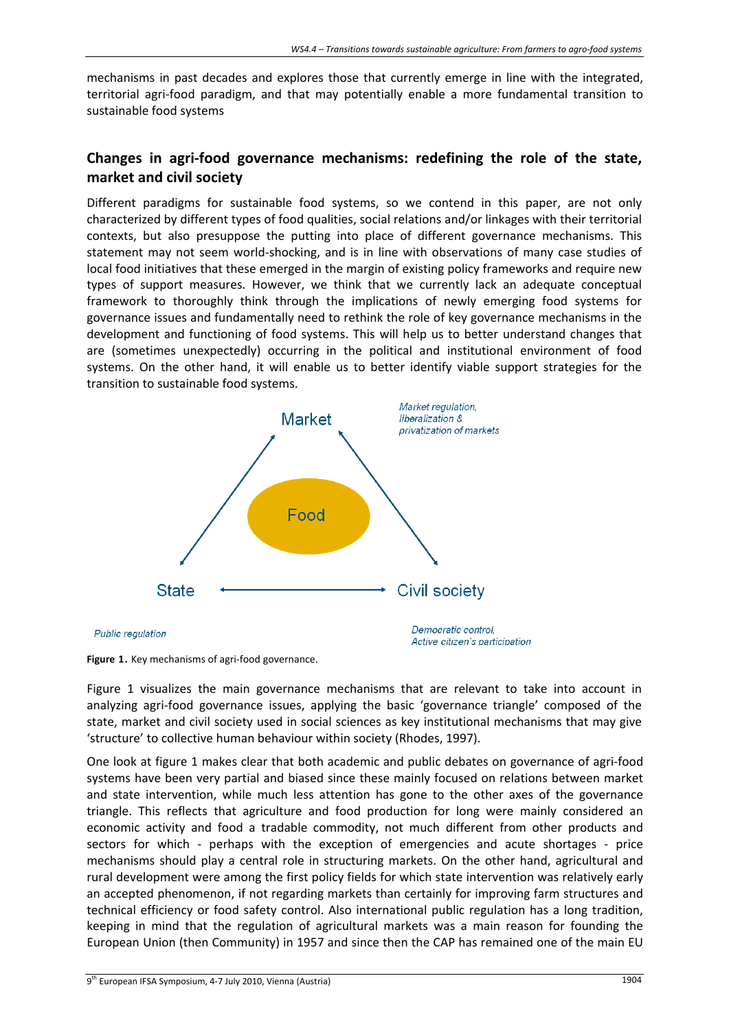mechanisms in past decades and explores those that currently emerge in line with the integrated, territorial agri‐food paradigm, and that may potentially enable a more fundamental transition to sustainable food systems

# **Changes in agri‐food governance mechanisms: redefining the role of the state, market and civil society**

Different paradigms for sustainable food systems, so we contend in this paper, are not only characterized by different types of food qualities, social relations and/or linkages with their territorial contexts, but also presuppose the putting into place of different governance mechanisms. This statement may not seem world‐shocking, and is in line with observations of many case studies of local food initiatives that these emerged in the margin of existing policy frameworks and require new types of support measures. However, we think that we currently lack an adequate conceptual framework to thoroughly think through the implications of newly emerging food systems for governance issues and fundamentally need to rethink the role of key governance mechanisms in the development and functioning of food systems. This will help us to better understand changes that are (sometimes unexpectedly) occurring in the political and institutional environment of food systems. On the other hand, it will enable us to better identify viable support strategies for the transition to sustainable food systems.



Figure 1. Key mechanisms of agri-food governance.

Figure 1 visualizes the main governance mechanisms that are relevant to take into account in analyzing agri‐food governance issues, applying the basic 'governance triangle' composed of the state, market and civil society used in social sciences as key institutional mechanisms that may give 'structure' to collective human behaviour within society (Rhodes, 1997).

One look at figure 1 makes clear that both academic and public debates on governance of agri‐food systems have been very partial and biased since these mainly focused on relations between market and state intervention, while much less attention has gone to the other axes of the governance triangle. This reflects that agriculture and food production for long were mainly considered an economic activity and food a tradable commodity, not much different from other products and sectors for which - perhaps with the exception of emergencies and acute shortages - price mechanisms should play a central role in structuring markets. On the other hand, agricultural and rural development were among the first policy fields for which state intervention was relatively early an accepted phenomenon, if not regarding markets than certainly for improving farm structures and technical efficiency or food safety control. Also international public regulation has a long tradition, keeping in mind that the regulation of agricultural markets was a main reason for founding the European Union (then Community) in 1957 and since then the CAP has remained one of the main EU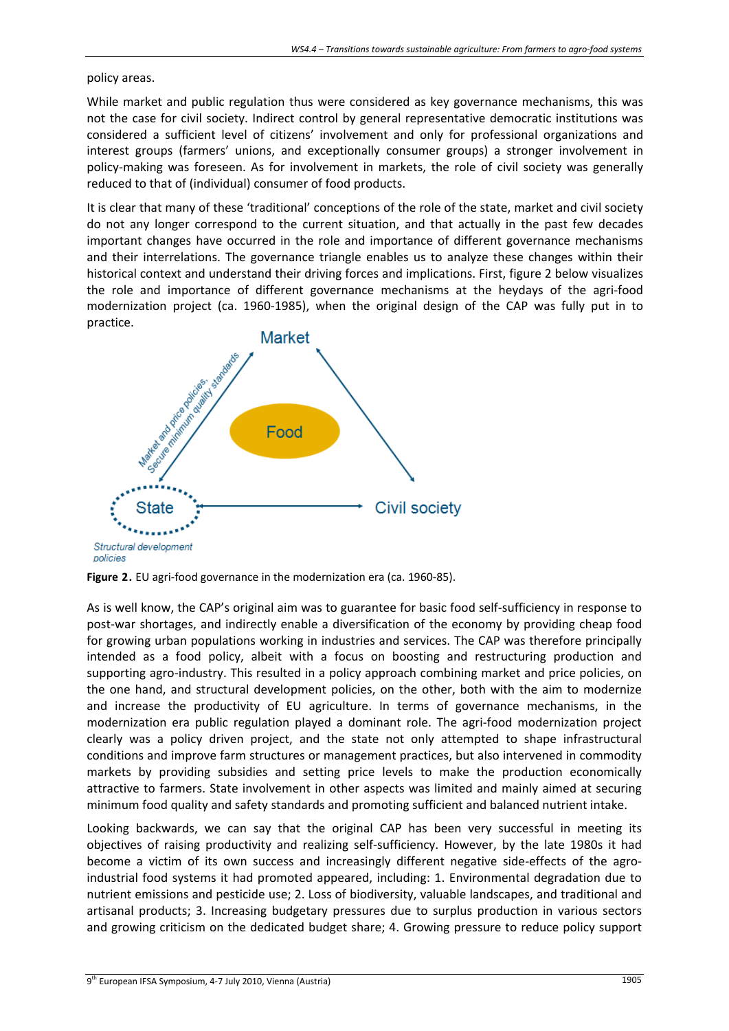policy areas.

While market and public regulation thus were considered as key governance mechanisms, this was not the case for civil society. Indirect control by general representative democratic institutions was considered a sufficient level of citizens' involvement and only for professional organizations and interest groups (farmers' unions, and exceptionally consumer groups) a stronger involvement in policy-making was foreseen. As for involvement in markets, the role of civil society was generally reduced to that of (individual) consumer of food products.

It is clear that many of these 'traditional' conceptions of the role of the state, market and civil society do not any longer correspond to the current situation, and that actually in the past few decades important changes have occurred in the role and importance of different governance mechanisms and their interrelations. The governance triangle enables us to analyze these changes within their historical context and understand their driving forces and implications. First, figure 2 below visualizes the role and importance of different governance mechanisms at the heydays of the agri‐food modernization project (ca. 1960‐1985), when the original design of the CAP was fully put in to practice.





As is well know, the CAP's original aim was to guarantee for basic food self‐sufficiency in response to post-war shortages, and indirectly enable a diversification of the economy by providing cheap food for growing urban populations working in industries and services. The CAP was therefore principally intended as a food policy, albeit with a focus on boosting and restructuring production and supporting agro-industry. This resulted in a policy approach combining market and price policies, on the one hand, and structural development policies, on the other, both with the aim to modernize and increase the productivity of EU agriculture. In terms of governance mechanisms, in the modernization era public regulation played a dominant role. The agri‐food modernization project clearly was a policy driven project, and the state not only attempted to shape infrastructural conditions and improve farm structures or management practices, but also intervened in commodity markets by providing subsidies and setting price levels to make the production economically attractive to farmers. State involvement in other aspects was limited and mainly aimed at securing minimum food quality and safety standards and promoting sufficient and balanced nutrient intake.

Looking backwards, we can say that the original CAP has been very successful in meeting its objectives of raising productivity and realizing self‐sufficiency. However, by the late 1980s it had become a victim of its own success and increasingly different negative side-effects of the agroindustrial food systems it had promoted appeared, including: 1. Environmental degradation due to nutrient emissions and pesticide use; 2. Loss of biodiversity, valuable landscapes, and traditional and artisanal products; 3. Increasing budgetary pressures due to surplus production in various sectors and growing criticism on the dedicated budget share; 4. Growing pressure to reduce policy support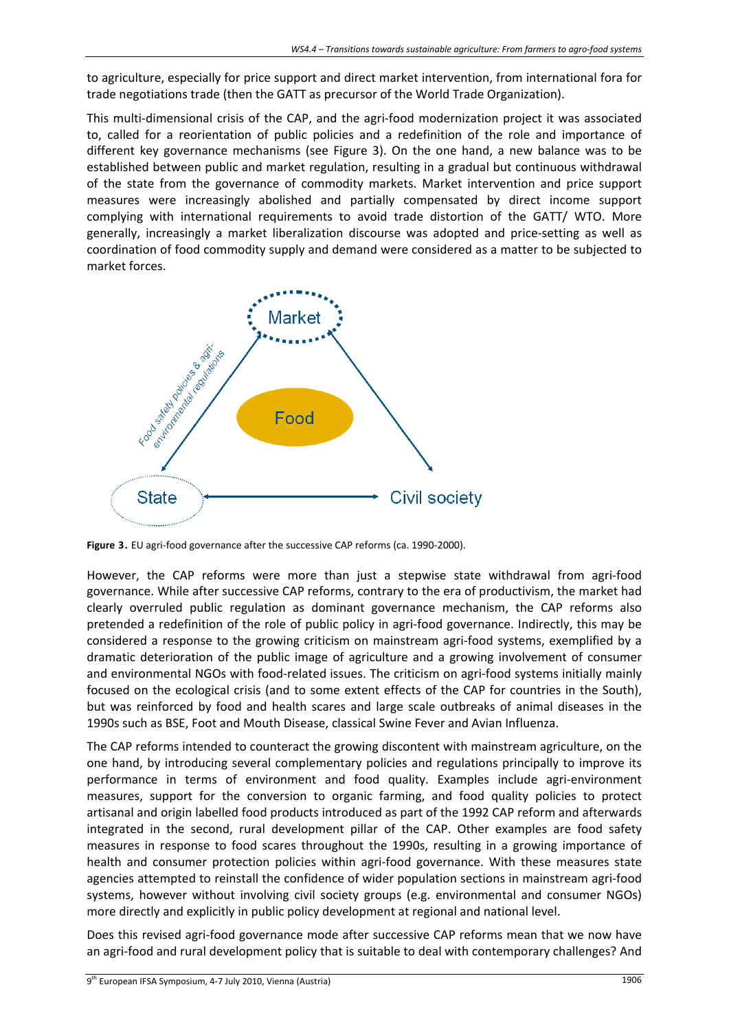to agriculture, especially for price support and direct market intervention, from international fora for trade negotiations trade (then the GATT as precursor of the World Trade Organization).

This multi‐dimensional crisis of the CAP, and the agri‐food modernization project it was associated to, called for a reorientation of public policies and a redefinition of the role and importance of different key governance mechanisms (see Figure 3). On the one hand, a new balance was to be established between public and market regulation, resulting in a gradual but continuous withdrawal of the state from the governance of commodity markets. Market intervention and price support measures were increasingly abolished and partially compensated by direct income support complying with international requirements to avoid trade distortion of the GATT/ WTO. More generally, increasingly a market liberalization discourse was adopted and price‐setting as well as coordination of food commodity supply and demand were considered as a matter to be subjected to market forces.



Figure 3. EU agri-food governance after the successive CAP reforms (ca. 1990-2000).

However, the CAP reforms were more than just a stepwise state withdrawal from agri-food governance. While after successive CAP reforms, contrary to the era of productivism, the market had clearly overruled public regulation as dominant governance mechanism, the CAP reforms also pretended a redefinition of the role of public policy in agri-food governance. Indirectly, this may be considered a response to the growing criticism on mainstream agri-food systems, exemplified by a dramatic deterioration of the public image of agriculture and a growing involvement of consumer and environmental NGOs with food-related issues. The criticism on agri-food systems initially mainly focused on the ecological crisis (and to some extent effects of the CAP for countries in the South), but was reinforced by food and health scares and large scale outbreaks of animal diseases in the 1990s such as BSE, Foot and Mouth Disease, classical Swine Fever and Avian Influenza.

The CAP reforms intended to counteract the growing discontent with mainstream agriculture, on the one hand, by introducing several complementary policies and regulations principally to improve its performance in terms of environment and food quality. Examples include agri-environment measures, support for the conversion to organic farming, and food quality policies to protect artisanal and origin labelled food products introduced as part of the 1992 CAP reform and afterwards integrated in the second, rural development pillar of the CAP. Other examples are food safety measures in response to food scares throughout the 1990s, resulting in a growing importance of health and consumer protection policies within agri-food governance. With these measures state agencies attempted to reinstall the confidence of wider population sections in mainstream agri‐food systems, however without involving civil society groups (e.g. environmental and consumer NGOs) more directly and explicitly in public policy development at regional and national level.

Does this revised agri-food governance mode after successive CAP reforms mean that we now have an agri-food and rural development policy that is suitable to deal with contemporary challenges? And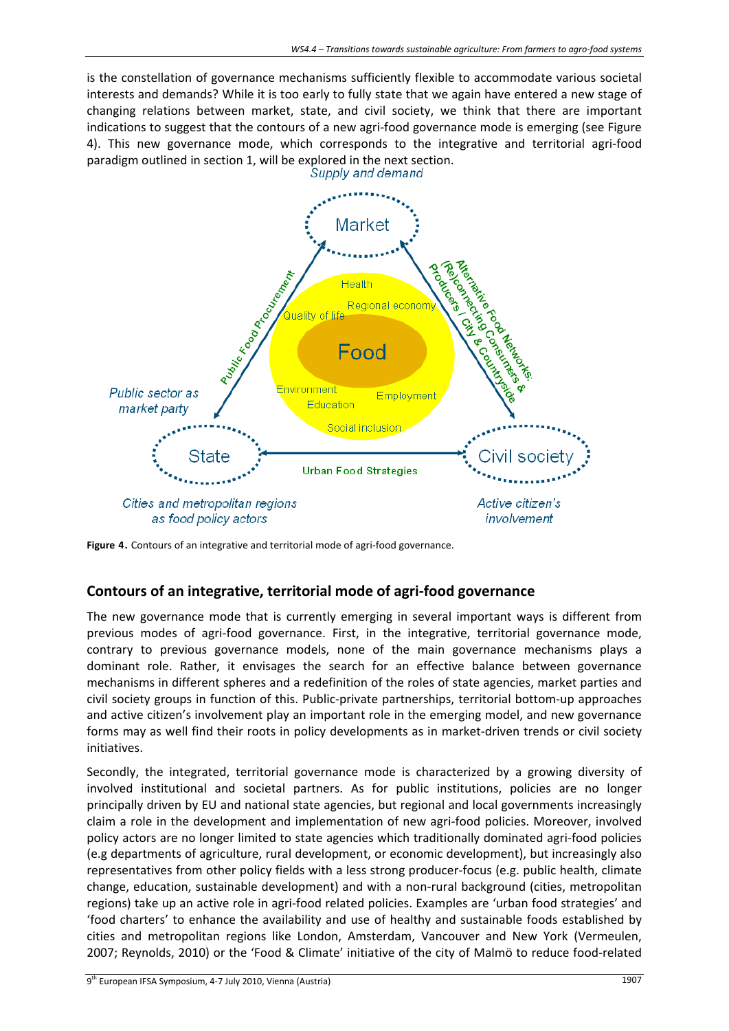is the constellation of governance mechanisms sufficiently flexible to accommodate various societal interests and demands? While it is too early to fully state that we again have entered a new stage of changing relations between market, state, and civil society, we think that there are important indications to suggest that the contours of a new agri-food governance mode is emerging (see Figure 4). This new governance mode, which corresponds to the integrative and territorial agri‐food paradigm outlined in section 1, will be explored in the next section.<br>Supply and demand



Figure 4. Contours of an integrative and territorial mode of agri-food governance.

## **Contours of an integrative, territorial mode of agri‐food governance**

The new governance mode that is currently emerging in several important ways is different from previous modes of agri-food governance. First, in the integrative, territorial governance mode, contrary to previous governance models, none of the main governance mechanisms plays a dominant role. Rather, it envisages the search for an effective balance between governance mechanisms in different spheres and a redefinition of the roles of state agencies, market parties and civil society groups in function of this. Public‐private partnerships, territorial bottom‐up approaches and active citizen's involvement play an important role in the emerging model, and new governance forms may as well find their roots in policy developments as in market-driven trends or civil society initiatives.

Secondly, the integrated, territorial governance mode is characterized by a growing diversity of involved institutional and societal partners. As for public institutions, policies are no longer principally driven by EU and national state agencies, but regional and local governments increasingly claim a role in the development and implementation of new agri-food policies. Moreover, involved policy actors are no longer limited to state agencies which traditionally dominated agri‐food policies (e.g departments of agriculture, rural development, or economic development), but increasingly also representatives from other policy fields with a less strong producer‐focus (e.g. public health, climate change, education, sustainable development) and with a non-rural background (cities, metropolitan regions) take up an active role in agri‐food related policies. Examples are 'urban food strategies' and 'food charters' to enhance the availability and use of healthy and sustainable foods established by cities and metropolitan regions like London, Amsterdam, Vancouver and New York (Vermeulen, 2007; Reynolds, 2010) or the 'Food & Climate' initiative of the city of Malmö to reduce food‐related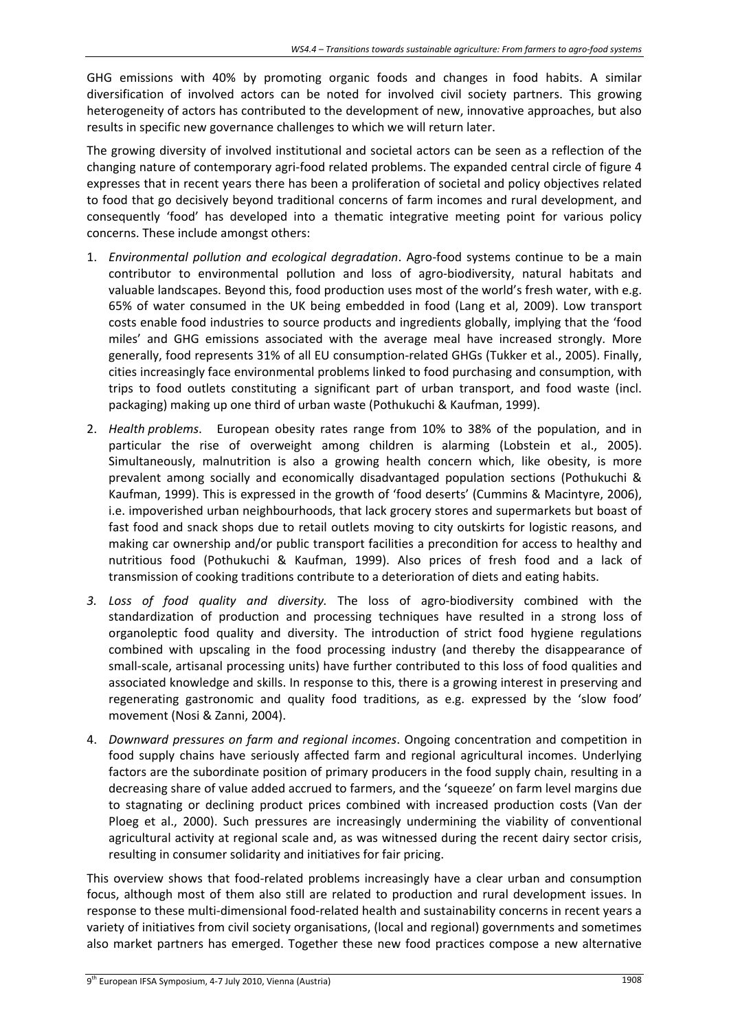GHG emissions with 40% by promoting organic foods and changes in food habits. A similar diversification of involved actors can be noted for involved civil society partners. This growing heterogeneity of actors has contributed to the development of new, innovative approaches, but also results in specific new governance challenges to which we will return later.

The growing diversity of involved institutional and societal actors can be seen as a reflection of the changing nature of contemporary agri‐food related problems. The expanded central circle of figure 4 expresses that in recent years there has been a proliferation of societal and policy objectives related to food that go decisively beyond traditional concerns of farm incomes and rural development, and consequently 'food' has developed into a thematic integrative meeting point for various policy concerns. These include amongst others:

- 1. *Environmental pollution and ecological degradation*. Agro‐food systems continue to be a main contributor to environmental pollution and loss of agro-biodiversity, natural habitats and valuable landscapes. Beyond this, food production uses most of the world's fresh water, with e.g. 65% of water consumed in the UK being embedded in food (Lang et al, 2009). Low transport costs enable food industries to source products and ingredients globally, implying that the 'food miles' and GHG emissions associated with the average meal have increased strongly. More generally, food represents 31% of all EU consumption-related GHGs (Tukker et al., 2005). Finally, cities increasingly face environmental problems linked to food purchasing and consumption, with trips to food outlets constituting a significant part of urban transport, and food waste (incl. packaging) making up one third of urban waste (Pothukuchi & Kaufman, 1999).
- 2. *Health problems*. European obesity rates range from 10% to 38% of the population, and in particular the rise of overweight among children is alarming (Lobstein et al., 2005). Simultaneously, malnutrition is also a growing health concern which, like obesity, is more prevalent among socially and economically disadvantaged population sections (Pothukuchi & Kaufman, 1999). This is expressed in the growth of 'food deserts' (Cummins & Macintyre, 2006), i.e. impoverished urban neighbourhoods, that lack grocery stores and supermarkets but boast of fast food and snack shops due to retail outlets moving to city outskirts for logistic reasons, and making car ownership and/or public transport facilities a precondition for access to healthy and nutritious food (Pothukuchi & Kaufman, 1999). Also prices of fresh food and a lack of transmission of cooking traditions contribute to a deterioration of diets and eating habits.
- *3. Loss of food quality and diversity.* The loss of agro‐biodiversity combined with the standardization of production and processing techniques have resulted in a strong loss of organoleptic food quality and diversity. The introduction of strict food hygiene regulations combined with upscaling in the food processing industry (and thereby the disappearance of small-scale, artisanal processing units) have further contributed to this loss of food qualities and associated knowledge and skills. In response to this, there is a growing interest in preserving and regenerating gastronomic and quality food traditions, as e.g. expressed by the 'slow food' movement (Nosi & Zanni, 2004).
- 4. *Downward pressures on farm and regional incomes*. Ongoing concentration and competition in food supply chains have seriously affected farm and regional agricultural incomes. Underlying factors are the subordinate position of primary producers in the food supply chain, resulting in a decreasing share of value added accrued to farmers, and the 'squeeze' on farm level margins due to stagnating or declining product prices combined with increased production costs (Van der Ploeg et al., 2000). Such pressures are increasingly undermining the viability of conventional agricultural activity at regional scale and, as was witnessed during the recent dairy sector crisis, resulting in consumer solidarity and initiatives for fair pricing.

This overview shows that food-related problems increasingly have a clear urban and consumption focus, although most of them also still are related to production and rural development issues. In response to these multi‐dimensional food‐related health and sustainability concerns in recent years a variety of initiatives from civil society organisations, (local and regional) governments and sometimes also market partners has emerged. Together these new food practices compose a new alternative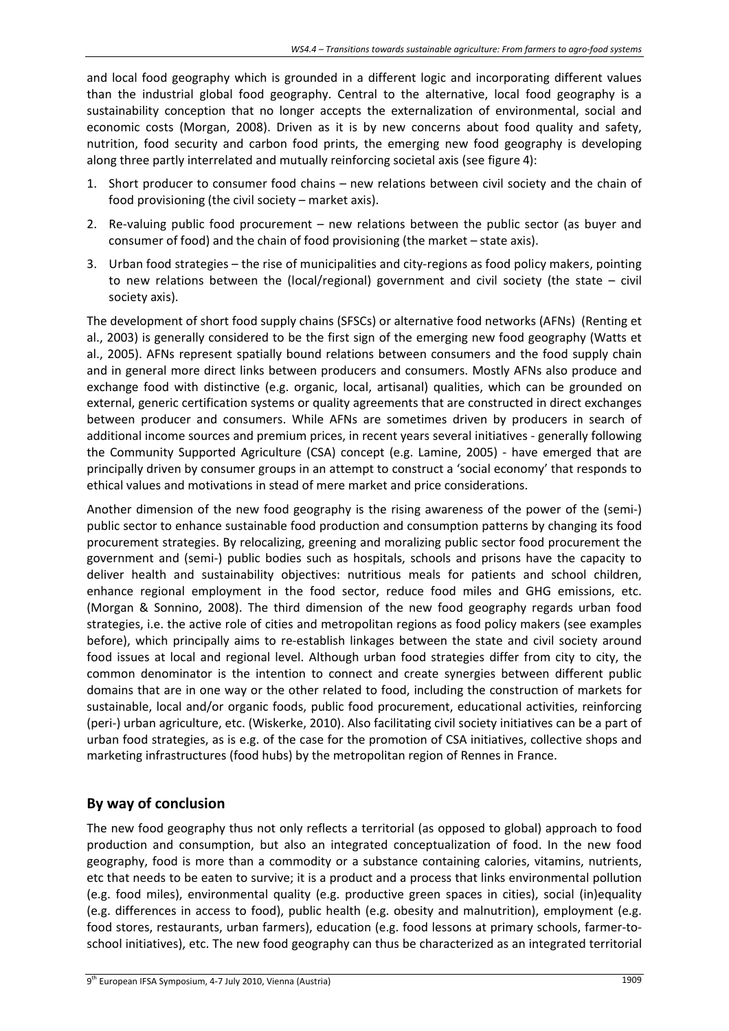and local food geography which is grounded in a different logic and incorporating different values than the industrial global food geography. Central to the alternative, local food geography is a sustainability conception that no longer accepts the externalization of environmental, social and economic costs (Morgan, 2008). Driven as it is by new concerns about food quality and safety, nutrition, food security and carbon food prints, the emerging new food geography is developing along three partly interrelated and mutually reinforcing societal axis (see figure 4):

- 1. Short producer to consumer food chains new relations between civil society and the chain of food provisioning (the civil society – market axis).
- 2. Re-valuing public food procurement new relations between the public sector (as buyer and consumer of food) and the chain of food provisioning (the market – state axis).
- 3. Urban food strategies the rise of municipalities and city‐regions as food policy makers, pointing to new relations between the (local/regional) government and civil society (the state – civil society axis).

The development of short food supply chains (SFSCs) or alternative food networks (AFNs) (Renting et al., 2003) is generally considered to be the first sign of the emerging new food geography (Watts et al., 2005). AFNs represent spatially bound relations between consumers and the food supply chain and in general more direct links between producers and consumers. Mostly AFNs also produce and exchange food with distinctive (e.g. organic, local, artisanal) qualities, which can be grounded on external, generic certification systems or quality agreements that are constructed in direct exchanges between producer and consumers. While AFNs are sometimes driven by producers in search of additional income sources and premium prices, in recent years several initiatives ‐ generally following the Community Supported Agriculture (CSA) concept (e.g. Lamine, 2005) ‐ have emerged that are principally driven by consumer groups in an attempt to construct a 'social economy' that responds to ethical values and motivations in stead of mere market and price considerations.

Another dimension of the new food geography is the rising awareness of the power of the (semi‐) public sector to enhance sustainable food production and consumption patterns by changing its food procurement strategies. By relocalizing, greening and moralizing public sector food procurement the government and (semi‐) public bodies such as hospitals, schools and prisons have the capacity to deliver health and sustainability objectives: nutritious meals for patients and school children, enhance regional employment in the food sector, reduce food miles and GHG emissions, etc. (Morgan & Sonnino, 2008). The third dimension of the new food geography regards urban food strategies, i.e. the active role of cities and metropolitan regions as food policy makers (see examples before), which principally aims to re‐establish linkages between the state and civil society around food issues at local and regional level. Although urban food strategies differ from city to city, the common denominator is the intention to connect and create synergies between different public domains that are in one way or the other related to food, including the construction of markets for sustainable, local and/or organic foods, public food procurement, educational activities, reinforcing (peri‐) urban agriculture, etc. (Wiskerke, 2010). Also facilitating civil society initiatives can be a part of urban food strategies, as is e.g. of the case for the promotion of CSA initiatives, collective shops and marketing infrastructures (food hubs) by the metropolitan region of Rennes in France.

# **By way of conclusion**

The new food geography thus not only reflects a territorial (as opposed to global) approach to food production and consumption, but also an integrated conceptualization of food. In the new food geography, food is more than a commodity or a substance containing calories, vitamins, nutrients, etc that needs to be eaten to survive; it is a product and a process that links environmental pollution (e.g. food miles), environmental quality (e.g. productive green spaces in cities), social (in)equality (e.g. differences in access to food), public health (e.g. obesity and malnutrition), employment (e.g. food stores, restaurants, urban farmers), education (e.g. food lessons at primary schools, farmer‐to‐ school initiatives), etc. The new food geography can thus be characterized as an integrated territorial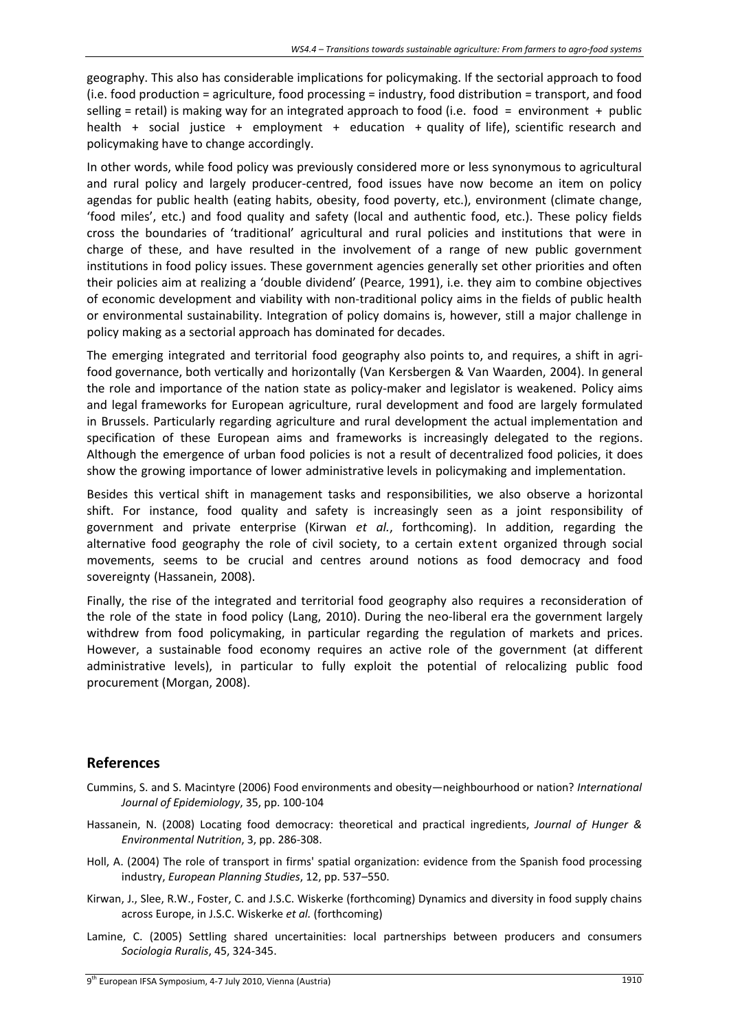geography. This also has considerable implications for policymaking. If the sectorial approach to food (i.e. food production = agriculture, food processing = industry, food distribution = transport, and food selling = retail) is making way for an integrated approach to food (i.e. food = environment + public health + social justice + employment + education + quality of life), scientific research and policymaking have to change accordingly.

In other words, while food policy was previously considered more or less synonymous to agricultural and rural policy and largely producer-centred, food issues have now become an item on policy agendas for public health (eating habits, obesity, food poverty, etc.), environment (climate change, 'food miles', etc.) and food quality and safety (local and authentic food, etc.). These policy fields cross the boundaries of 'traditional' agricultural and rural policies and institutions that were in charge of these, and have resulted in the involvement of a range of new public government institutions in food policy issues. These government agencies generally set other priorities and often their policies aim at realizing a 'double dividend' (Pearce, 1991), i.e. they aim to combine objectives of economic development and viability with non‐traditional policy aims in the fields of public health or environmental sustainability. Integration of policy domains is, however, still a major challenge in policy making as a sectorial approach has dominated for decades.

The emerging integrated and territorial food geography also points to, and requires, a shift in agrifood governance, both vertically and horizontally (Van Kersbergen & Van Waarden, 2004). In general the role and importance of the nation state as policy-maker and legislator is weakened. Policy aims and legal frameworks for European agriculture, rural development and food are largely formulated in Brussels. Particularly regarding agriculture and rural development the actual implementation and specification of these European aims and frameworks is increasingly delegated to the regions. Although the emergence of urban food policies is not a result of decentralized food policies, it does show the growing importance of lower administrative levels in policymaking and implementation.

Besides this vertical shift in management tasks and responsibilities, we also observe a horizontal shift. For instance, food quality and safety is increasingly seen as a joint responsibility of government and private enterprise (Kirwan *et al.*, forthcoming). In addition, regarding the alternative food geography the role of civil society, to a certain extent organized through social movements, seems to be crucial and centres around notions as food democracy and food sovereignty (Hassanein, 2008).

Finally, the rise of the integrated and territorial food geography also requires a reconsideration of the role of the state in food policy (Lang, 2010). During the neo‐liberal era the government largely withdrew from food policymaking, in particular regarding the regulation of markets and prices. However, a sustainable food economy requires an active role of the government (at different administrative levels), in particular to fully exploit the potential of relocalizing public food procurement (Morgan, 2008).

## **References**

- Cummins, S. and S. Macintyre (2006) Food environments and obesity—neighbourhood or nation? *International Journal of Epidemiology*, 35, pp. 100‐104
- Hassanein, N. (2008) Locating food democracy: theoretical and practical ingredients, *Journal of Hunger & Environmental Nutrition*, 3, pp. 286‐308.
- Holl, A. (2004) The role of transport in firms' spatial organization: evidence from the Spanish food processing industry, *European Planning Studies*, 12, pp. 537–550.
- Kirwan, J., Slee, R.W., Foster, C. and J.S.C. Wiskerke (forthcoming) Dynamics and diversity in food supply chains across Europe, in J.S.C. Wiskerke *et al.* (forthcoming)
- Lamine, C. (2005) Settling shared uncertainities: local partnerships between producers and consumers *Sociologia Ruralis*, 45, 324‐345.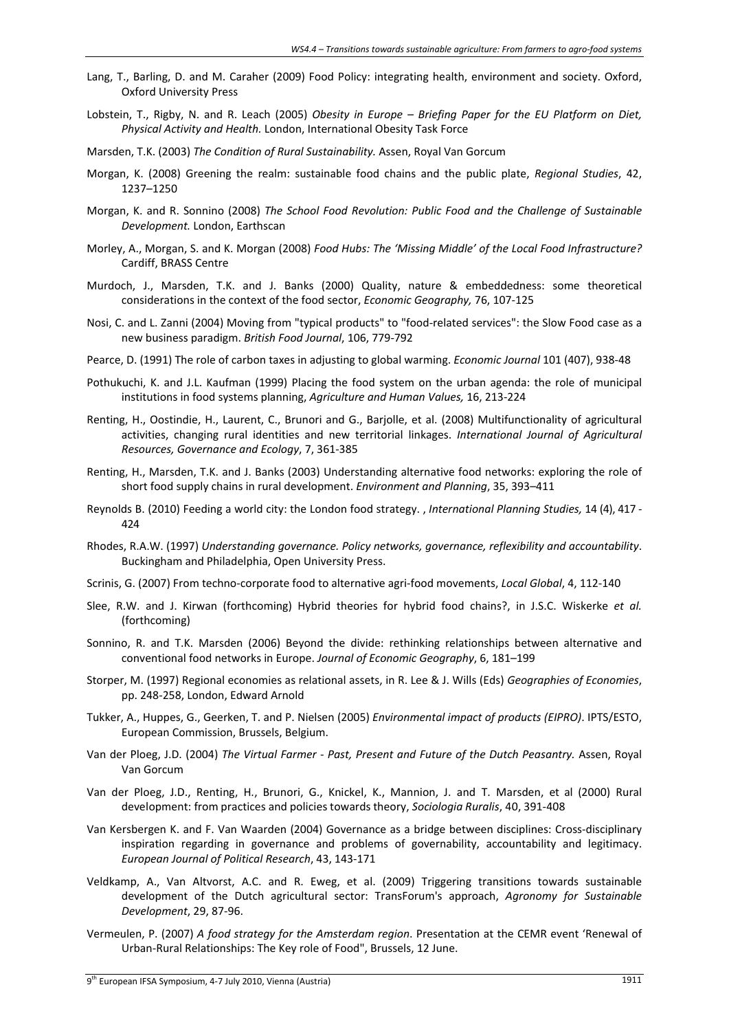- Lang, T., Barling, D. and M. Caraher (2009) Food Policy: integrating health, environment and society. Oxford, Oxford University Press
- Lobstein, T., Rigby, N. and R. Leach (2005) *Obesity in Europe – Briefing Paper for the EU Platform on Diet, Physical Activity and Health.* London, International Obesity Task Force
- Marsden, T.K. (2003) *The Condition of Rural Sustainability.* Assen, Royal Van Gorcum
- Morgan, K. (2008) Greening the realm: sustainable food chains and the public plate, *Regional Studies*, 42, 1237–1250
- Morgan, K. and R. Sonnino (2008) *The School Food Revolution: Public Food and the Challenge of Sustainable Development.* London, Earthscan
- Morley, A., Morgan, S. and K. Morgan (2008) *Food Hubs: The 'Missing Middle' of the Local Food Infrastructure?* Cardiff, BRASS Centre
- Murdoch, J., Marsden, T.K. and J. Banks (2000) Quality, nature & embeddedness: some theoretical considerations in the context of the food sector, *Economic Geography,* 76, 107‐125
- Nosi, C. and L. Zanni (2004) Moving from "typical products" to "food‐related services": the Slow Food case as a new business paradigm. *British Food Journal*, 106, 779‐792
- Pearce, D. (1991) The role of carbon taxes in adjusting to global warming. *Economic Journal* 101 (407), 938‐48
- Pothukuchi, K. and J.L. Kaufman (1999) Placing the food system on the urban agenda: the role of municipal institutions in food systems planning, *Agriculture and Human Values,* 16, 213‐224
- Renting, H., Oostindie, H., Laurent, C., Brunori and G., Barjolle, et al. (2008) Multifunctionality of agricultural activities, changing rural identities and new territorial linkages. *International Journal of Agricultural Resources, Governance and Ecology*, 7, 361‐385
- Renting, H., Marsden, T.K. and J. Banks (2003) Understanding alternative food networks: exploring the role of short food supply chains in rural development. *Environment and Planning*, 35, 393–411
- Reynolds B. (2010) Feeding a world city: the London food strategy. , *International Planning Studies,* 14 (4), 417 ‐ 424
- Rhodes, R.A.W. (1997) *Understanding governance. Policy networks, governance, reflexibility and accountability*. Buckingham and Philadelphia, Open University Press.
- Scrinis, G. (2007) From techno‐corporate food to alternative agri‐food movements, *Local Global*, 4, 112‐140
- Slee, R.W. and J. Kirwan (forthcoming) Hybrid theories for hybrid food chains?, in J.S.C. Wiskerke *et al.* (forthcoming)
- Sonnino, R. and T.K. Marsden (2006) Beyond the divide: rethinking relationships between alternative and conventional food networks in Europe. *Journal of Economic Geography*, 6, 181–199
- Storper, M. (1997) Regional economies as relational assets, in R. Lee & J. Wills (Eds) *Geographies of Economies*, pp. 248‐258, London, Edward Arnold
- Tukker, A., Huppes, G., Geerken, T. and P. Nielsen (2005) *Environmental impact of products (EIPRO)*. IPTS/ESTO, European Commission, Brussels, Belgium.
- Van der Ploeg, J.D. (2004) *The Virtual Farmer ‐ Past, Present and Future of the Dutch Peasantry.* Assen, Royal Van Gorcum
- Van der Ploeg, J.D., Renting, H., Brunori, G., Knickel, K., Mannion, J. and T. Marsden, et al (2000) Rural development: from practices and policiestowards theory, *Sociologia Ruralis*, 40, 391‐408
- Van Kersbergen K. and F. Van Waarden (2004) Governance as a bridge between disciplines: Cross‐disciplinary inspiration regarding in governance and problems of governability, accountability and legitimacy. *European Journal of Political Research*, 43, 143‐171
- Veldkamp, A., Van Altvorst, A.C. and R. Eweg, et al. (2009) Triggering transitions towards sustainable development of the Dutch agricultural sector: TransForum's approach, *Agronomy for Sustainable Development*, 29, 87‐96.
- Vermeulen, P. (2007) *A food strategy for the Amsterdam region*. Presentation at the CEMR event 'Renewal of Urban‐Rural Relationships: The Key role of Food", Brussels, 12 June.